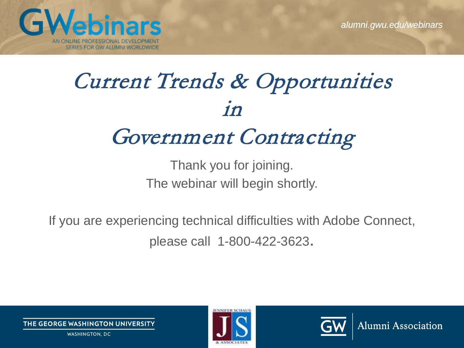**Alumni Association** 



# Current Trends & Opportunities in

#### Government Contracting

Thank you for joining. The webinar will begin shortly.

If you are experiencing technical difficulties with Adobe Connect, please call 1-800-422-3623.



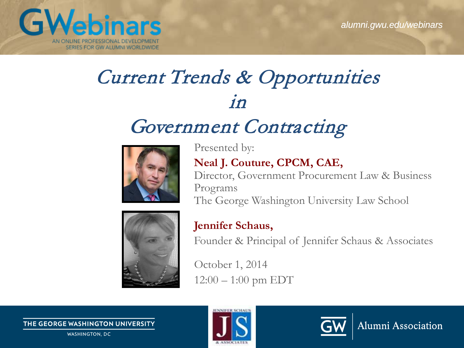Alumni Association



#### Current Trends & Opportunities  $1n$

#### Government Contracting



Presented by: **Neal J. Couture, CPCM, CAE,** Director, Government Procurement Law & Business Programs The George Washington University Law School



#### **Jennifer Schaus,**

Founder & Principal of Jennifer Schaus & Associates

October 1, 2014  $12:00 - 1:00$  pm EDT

THE GEORGE WASHINGTON UNIVERSITY

**WASHINGTON, DC** 



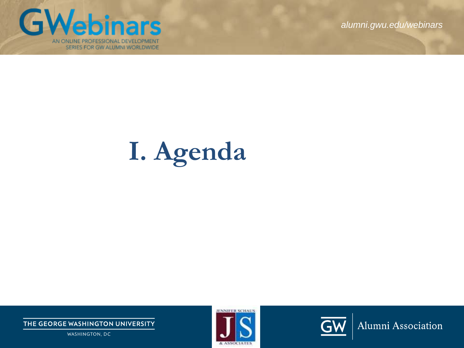

# **I. Agenda**

THE GEORGE WASHINGTON UNIVERSITY

WASHINGTON, DC



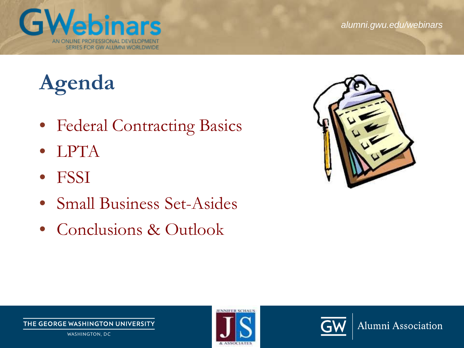

Alumni Association

## **Agenda**

- Federal Contracting Basics
- LPTA
- FSSI
- Small Business Set-Asides
- Conclusions & Outlook





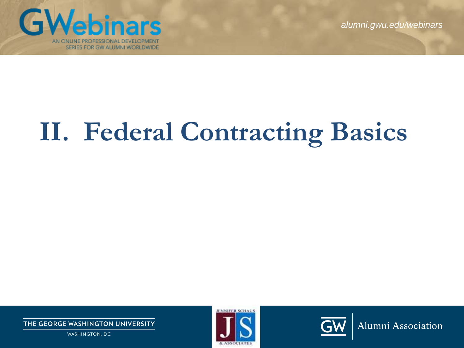

# **II. Federal Contracting Basics**

THE GEORGE WASHINGTON UNIVERSITY

WASHINGTON, DC



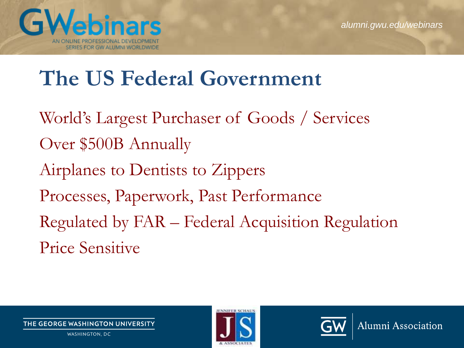Alumni Association



#### **The US Federal Government**

World's Largest Purchaser of Goods / Services Over \$500B Annually Airplanes to Dentists to Zippers Processes, Paperwork, Past Performance Regulated by FAR – Federal Acquisition Regulation Price Sensitive



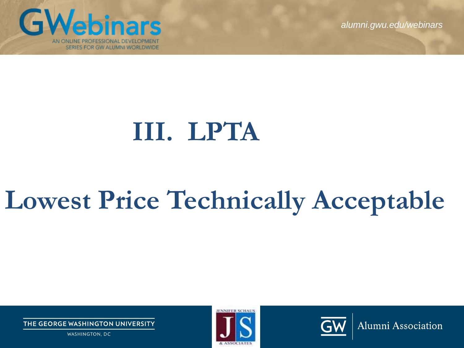**GWebinars** AN ONLINE PROFESSIONAL DEVELOPMENT SERIES FOR GW ALUMNI WORLDWIDE

*alumni.gwu.edu/webinars*

# **III. LPTA**

# **Lowest Price Technically Acceptable**

THE GEORGE WASHINGTON UNIVERSITY

WASHINGTON, DC



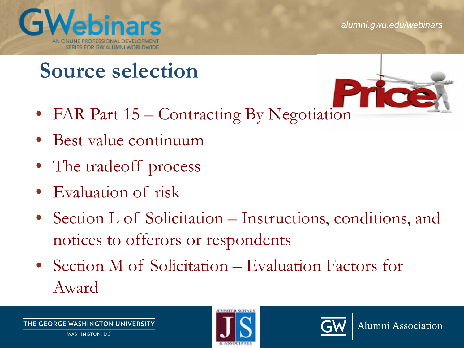

#### **Source selection**

- FAR Part 15 Contracting By Negotiation
- 

- Best value continuum
- The tradeoff process
- Evaluation of risk
- Section L of Solicitation Instructions, conditions, and notices to offerors or respondents
- Section M of Solicitation Evaluation Factors for Award

**IE GEORGE WASHINGTON UNIVERSITY** WASHINGTON, DC



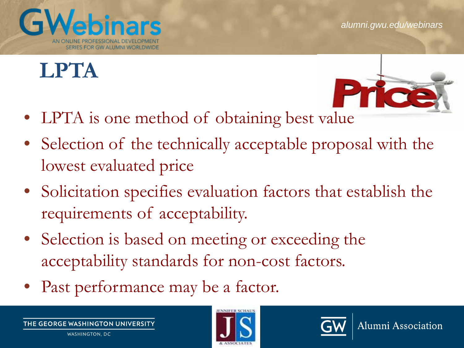

### **LPTA**



- LPTA is one method of obtaining best value
- Selection of the technically acceptable proposal with the lowest evaluated price
- Solicitation specifies evaluation factors that establish the requirements of acceptability.
- Selection is based on meeting or exceeding the acceptability standards for non-cost factors.
- Past performance may be a factor.

THE GEORGE WASHINGTON UNIVERSITY WASHINGTON, DC



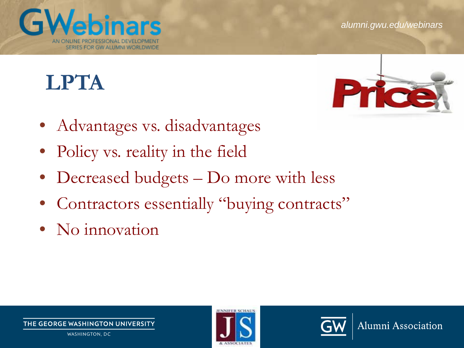#### **LPTA**

SERIES FOR GW ALUMNI WORLDWIDE

G



- Advantages vs. disadvantages
- Policy vs. reality in the field
- Decreased budgets Do more with less
- Contractors essentially "buying contracts"
- No innovation



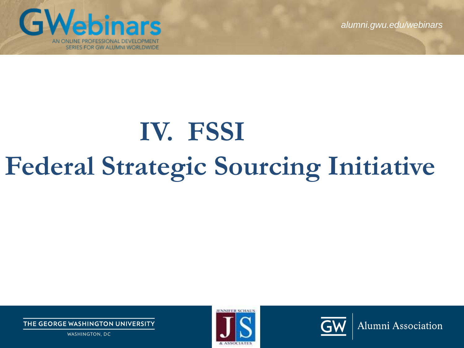

# **IV. FSSI Federal Strategic Sourcing Initiative**

THE GEORGE WASHINGTON UNIVERSITY

WASHINGTON, DC



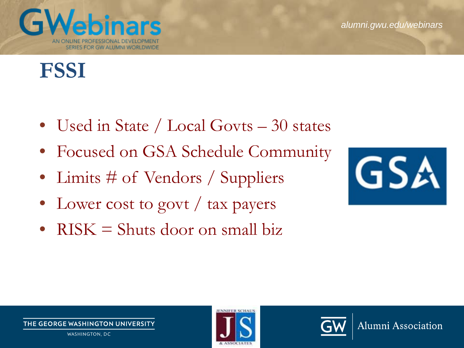#### G SERIES FOR GW ALUMNI WORLDWIDE

## **FSSI**

- Used in State / Local Govts 30 states
- Focused on GSA Schedule Community
- Limits # of Vendors / Suppliers
- Lower cost to govt / tax payers
- $RISK = Shuts door on small biz$



Alumni Association



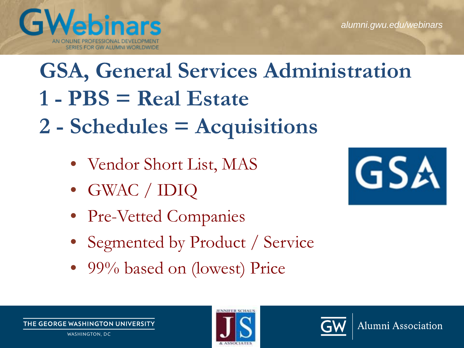# **GSA, General Services Administration 1 - PBS = Real Estate**

- **2 - Schedules = Acquisitions**
	- Vendor Short List, MAS
	- GWAC / IDIQ

*<u>ebinars</u>* 

SERIES FOR GW ALUMNI WORLDWIDE

- Pre-Vetted Companies
- Segmented by Product / Service
- 99% based on (lowest) Price





GV





**GSA**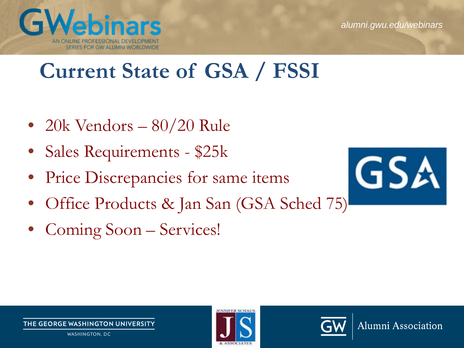

#### **Current State of GSA / FSSI**

- 20k Vendors 80/20 Rule
- Sales Requirements \$25k
- Price Discrepancies for same items
- Office Products & Jan San (GSA Sched 75)
- Coming Soon Services!







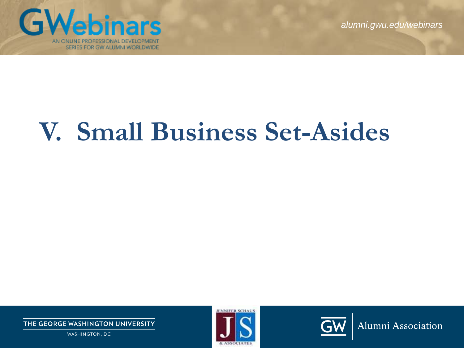

# **V. Small Business Set-Asides**

THE GEORGE WASHINGTON UNIVERSITY

WASHINGTON, DC



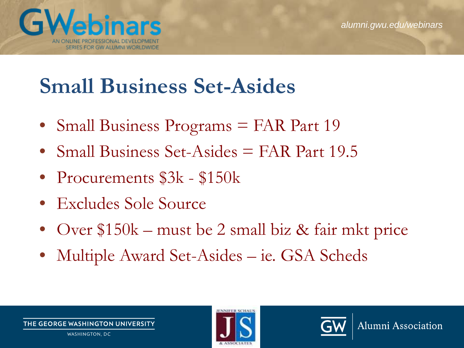



#### **[Small Busi](http://www.google.com/url?sa=i&rct=j&q=&esrc=s&source=images&cd=&cad=rja&uact=8&docid=T6XR2P3tNlxUzM&tbnid=Xf4ireWVJUm-jM:&ved=0CAcQjRw&url=http%3A%2F%2Fwww.acqnotes.com%2FTasks%2FPurchasing%2520Small%2520Business%2520Overview.html&ei=_w4sVIL7D_DGsQSOvICYDQ&bvm=bv.76477589,d.aWw&psig=AFQjCNGDPgPMkwBXDmd1YZDlFa0Jjb6idA&ust=1412259953929040)ness Set-Asides**

- Small Business Programs = FAR Part 19
- Small Business Set-Asides = FAR Part 19.5
- Procurements  $$3k $150k$
- Excludes Sole Source
- Over \$150k [must be 2 small biz &](http://www.google.com/url?sa=i&rct=j&q=&esrc=s&source=images&cd=&cad=rja&uact=8&docid=T6XR2P3tNlxUzM&tbnid=Xf4ireWVJUm-jM:&ved=0CAcQjRw&url=http%3A%2F%2Fwww.acqnotes.com%2FTasks%2FPurchasing%2520Small%2520Business%2520Overview.html&ei=_w4sVIL7D_DGsQSOvICYDQ&bvm=bv.76477589,d.aWw&psig=AFQjCNGDPgPMkwBXDmd1YZDlFa0Jjb6idA&ust=1412259953929040) fair mkt price
- Multiple Award Set-Asides ie. GSA Scheds



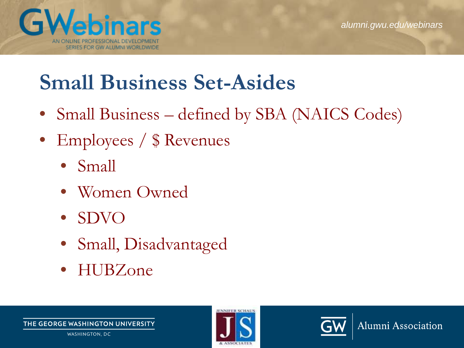

#### **Small Business Set-Asides**

- Small Business defined by SBA (NAICS Codes)
- Employees / \$ Revenues
	- Small
	- Women Owned
	- SDVO
	- Small, Disadvantaged
	- HUBZone



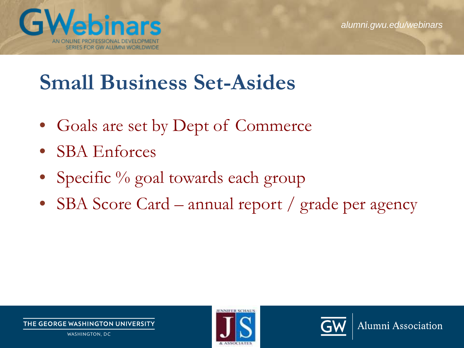

#### **Small Business Set-Asides**

- Goals are set by Dept of Commerce
- SBA Enforces
- Specific % goal towards each group
- SBA Score Card annual report / grade per agency



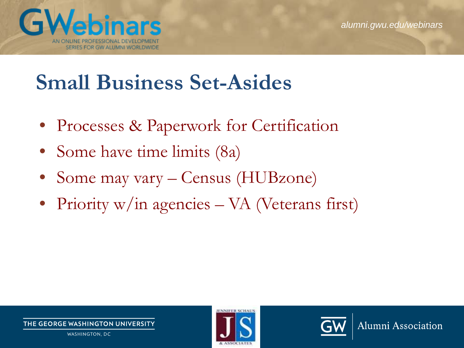

#### **Small Business Set-Asides**

- Processes & Paperwork for Certification
- Some have time limits (8a)
- Some may vary Census (HUBzone)
- Priority w/in agencies VA (Veterans first)



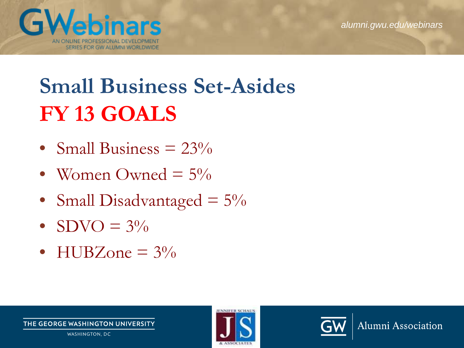

## **Small Business Set-Asides FY 13 GOALS**

- Small Business  $= 23\%$
- Women Owned  $= 5\%$
- Small Disadvantaged  $= 5\%$
- $SDVO = 3\%$
- HUBZone  $= 3\%$



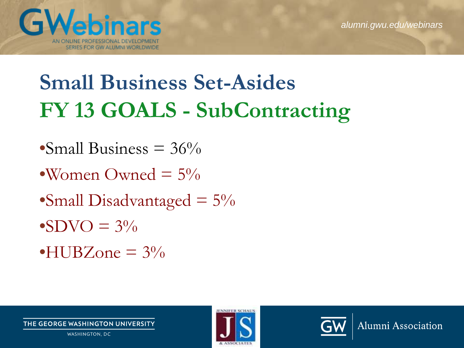

## **Small Business Set-Asides FY 13 GOALS - SubContracting**

- Small Business  $= 36\%$
- •Women Owned  $= 5\%$
- •Small Disadvantaged  $= 5\%$
- $\bullet$ SDVO =  $3\%$
- $\bullet$ HUBZone =  $3\%$



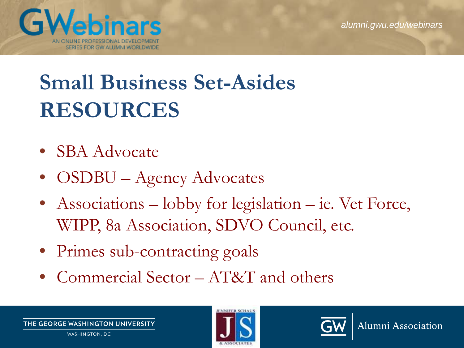



## **Small Business Set-Asides RESOURCES**

- SBA Advocate
- OSDBU Agency Advocates
- Associations lobby for legislation ie. Vet Force, WIPP, 8a Association, SDVO Council, etc.
- Primes sub-contracting goals
- Commercial Sector AT&T and others

THE GEORGE WASHINGTON UNIVERSITY WASHINGTON, DC



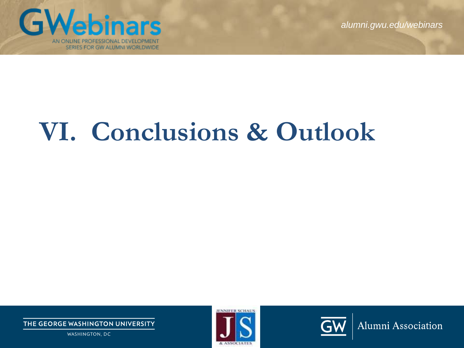

## **VI. Conclusions & Outlook**

THE GEORGE WASHINGTON UNIVERSITY

WASHINGTON, DC



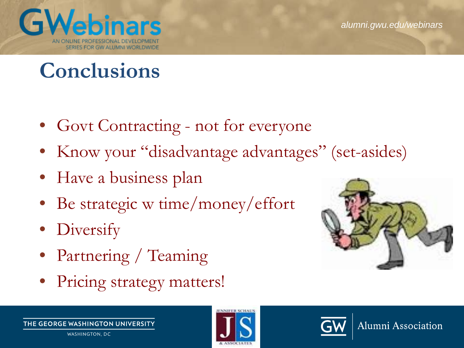#### **Nebinars** G SERIES FOR GW ALUMNI WORLDWIDE

#### **Conclusions**

- Govt Contracting not for everyone
- Know your "disadvantage advantages" (set-asides)
- Have a business plan
- Be strategic w time/money/effort
- **Diversify**
- Partnering / Teaming
- Pricing strategy matters!



Alumni Association



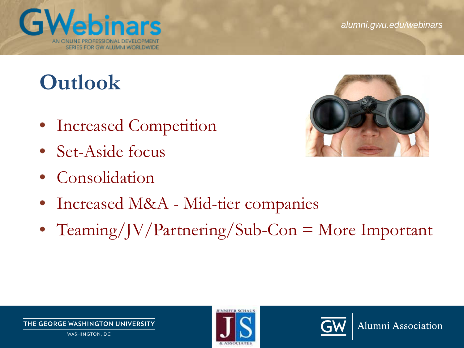Alumni Association

#### **Outlook**

**GWebinars** 

SERIES FOR GW ALUMNI WORLDWIDE

- Increased Competition
- Set-Aside focus
- Consolidation
- Increased M&A Mid-tier companies
- Teaming/JV/Partnering/Sub-Con = More Important





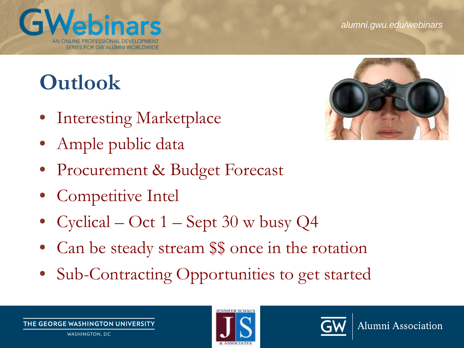#### **Outlook**

G

- **Interesting Marketplace**
- Ample public data

SERIES FOR GW ALUMNI WORLDWIDE

- Procurement & Budget Forecast
- Competitive Intel
- Cyclical Oct 1 Sept 30 w busy Q4
- Can be steady stream \$\$ once in the rotation
- Sub-Contracting Opportunities to get started







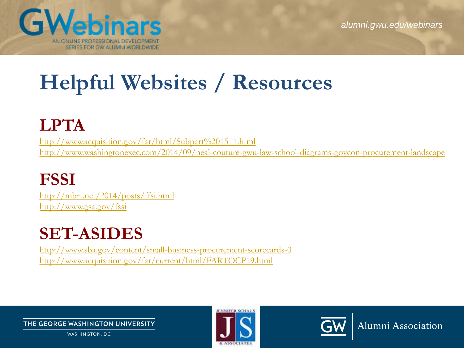

## **Helpful Websites / Resources**

#### **LPTA**

[http://www.acquisition.gov/far/html/Subpart%2015\\_1.html](http://www.acquisition.gov/far/html/Subpart%2015_1.html) <http://www.washingtonexec.com/2014/09/neal-couture-gwu-law-school-diagrams-govcon-procurement-landscape>

#### **FSSI**

<http://mbrt.net/2014/posts/ffsi.html> <http://www.gsa.gov/fssi>

#### **SET-ASIDES**

<http://www.sba.gov/content/small-business-procurement-scorecards-0> <http://www.acquisition.gov/far/current/html/FARTOCP19.html>

THE GEORGE WASHINGTON UNIVERSITY

WASHINGTON, DC



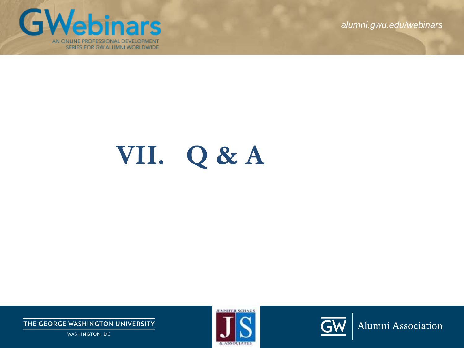

# **VII. Q & A**

THE GEORGE WASHINGTON UNIVERSITY

WASHINGTON, DC